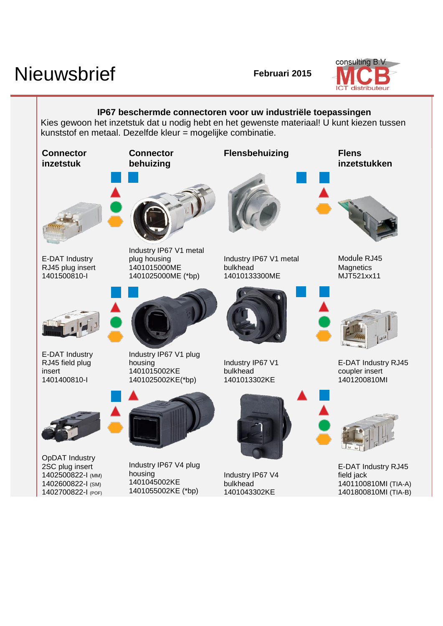## Nieuwsbrief **Februari** 2015



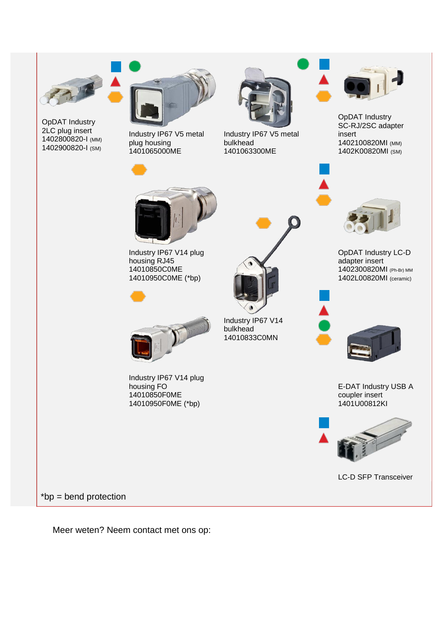

OpDAT Industry 2LC plug insert 1402800820-I (MM) 1402900820-I (SM)



plug housing 1401065000ME



Industry IP67 V5 metal bulkhead 1401063300ME

Industry IP67 V14

bulkhead 14010833C0MN



OpDAT Industry SC-RJ/2SC adapter insert 1402100820MI (MM) 1402K00820MI (SM)



OpDAT Industry LC-D adapter insert 1402300820MI (Ph-Br) MM 1402L00820MI (ceramic)



E-DAT Industry USB A coupler insert 1401U00812KI



LC-D SFP Transceiver



Industry IP67 V14 plug housing RJ45 14010850C0ME 14010950C0ME (\*bp)



Industry IP67 V14 plug housing FO 14010850F0ME 14010950F0ME (\*bp)

\*bp = bend protection

Meer weten? Neem contact met ons op: